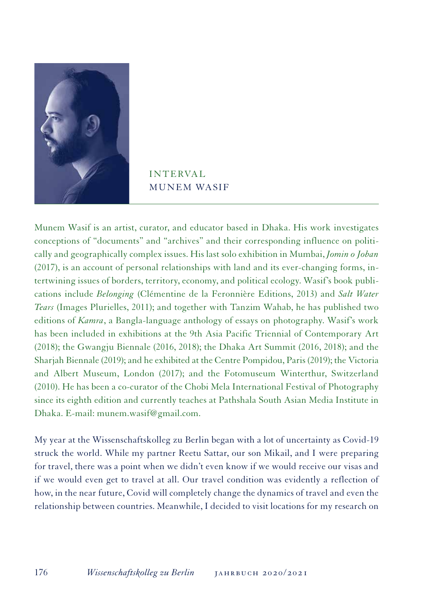

## **INTERVAL** MUNEM WASIF

Munem Wasif is an artist, curator, and educator based in Dhaka. His work investigates conceptions of "documents" and "archives" and their corresponding influence on politically and geographically complex issues. His last solo exhibition in Mumbai, *Jomin o Joban* (2017), is an account of personal relationships with land and its ever-changing forms, intertwining issues of borders, territory, economy, and political ecology. Wasif's book publications include *Belonging* (Clémentine de la Feronnière Editions, 2013) and *Salt Water Tears* (Images Plurielles, 2011); and together with Tanzim Wahab, he has published two editions of *Kamra*, a Bangla-language anthology of essays on photography. Wasif's work has been included in exhibitions at the 9th Asia Pacific Triennial of Contemporary Art (2018); the Gwangju Biennale (2016, 2018); the Dhaka Art Summit (2016, 2018); and the Sharjah Biennale (2019); and he exhibited at the Centre Pompidou, Paris (2019); the Victoria and Albert Museum, London (2017); and the Fotomuseum Winterthur, Switzerland (2010). He has been a co-curator of the Chobi Mela International Festival of Photography since its eighth edition and currently teaches at Pathshala South Asian Media Institute in Dhaka. E-mail: munem.wasif@gmail.com.

My year at the Wissenschaftskolleg zu Berlin began with a lot of uncertainty as Covid-19 struck the world. While my partner Reetu Sattar, our son Mikail, and I were preparing for travel, there was a point when we didn't even know if we would receive our visas and if we would even get to travel at all. Our travel condition was evidently a reflection of how, in the near future, Covid will completely change the dynamics of travel and even the relationship between countries. Meanwhile, I decided to visit locations for my research on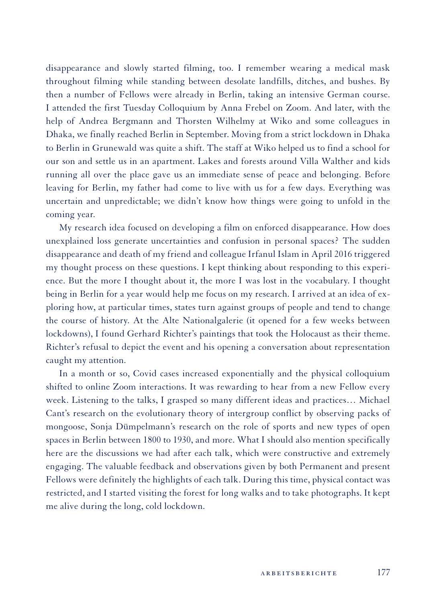disappearance and slowly started filming, too. I remember wearing a medical mask throughout filming while standing between desolate landfills, ditches, and bushes. By then a number of Fellows were already in Berlin, taking an intensive German course. I attended the first Tuesday Colloquium by Anna Frebel on Zoom. And later, with the help of Andrea Bergmann and Thorsten Wilhelmy at Wiko and some colleagues in Dhaka, we finally reached Berlin in September. Moving from a strict lockdown in Dhaka to Berlin in Grunewald was quite a shift. The staff at Wiko helped us to find a school for our son and settle us in an apartment. Lakes and forests around Villa Walther and kids running all over the place gave us an immediate sense of peace and belonging. Before leaving for Berlin, my father had come to live with us for a few days. Everything was uncertain and unpredictable; we didn't know how things were going to unfold in the coming year.

My research idea focused on developing a film on enforced disappearance. How does unexplained loss generate uncertainties and confusion in personal spaces? The sudden disappearance and death of my friend and colleague Irfanul Islam in April 2016 triggered my thought process on these questions. I kept thinking about responding to this experience. But the more I thought about it, the more I was lost in the vocabulary. I thought being in Berlin for a year would help me focus on my research. I arrived at an idea of exploring how, at particular times, states turn against groups of people and tend to change the course of history. At the Alte Nationalgalerie (it opened for a few weeks between lockdowns), I found Gerhard Richter's paintings that took the Holocaust as their theme. Richter's refusal to depict the event and his opening a conversation about representation caught my attention.

In a month or so, Covid cases increased exponentially and the physical colloquium shifted to online Zoom interactions. It was rewarding to hear from a new Fellow every week. Listening to the talks, I grasped so many different ideas and practices… Michael Cant's research on the evolutionary theory of intergroup conflict by observing packs of mongoose, Sonja Dümpelmann's research on the role of sports and new types of open spaces in Berlin between 1800 to 1930, and more. What I should also mention specifically here are the discussions we had after each talk, which were constructive and extremely engaging. The valuable feedback and observations given by both Permanent and present Fellows were definitely the highlights of each talk. During this time, physical contact was restricted, and I started visiting the forest for long walks and to take photographs. It kept me alive during the long, cold lockdown.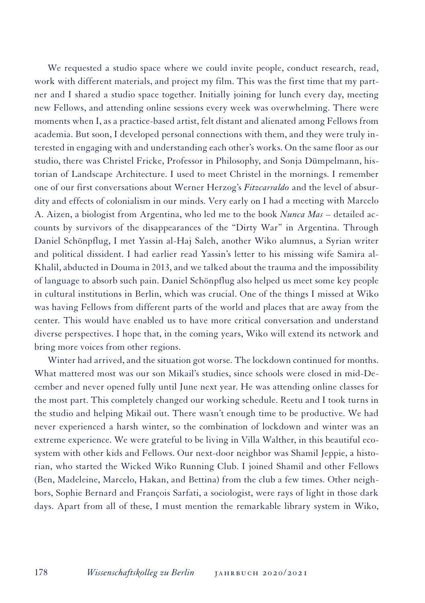We requested a studio space where we could invite people, conduct research, read, work with different materials, and project my film. This was the first time that my partner and I shared a studio space together. Initially joining for lunch every day, meeting new Fellows, and attending online sessions every week was overwhelming. There were moments when I, as a practice-based artist, felt distant and alienated among Fellows from academia. But soon, I developed personal connections with them, and they were truly interested in engaging with and understanding each other's works. On the same floor as our studio, there was Christel Fricke, Professor in Philosophy, and Sonja Dümpelmann, historian of Landscape Architecture. I used to meet Christel in the mornings. I remember one of our first conversations about Werner Herzog's *Fitzcarraldo* and the level of absurdity and effects of colonialism in our minds. Very early on I had a meeting with Marcelo A. Aizen, a biologist from Argentina, who led me to the book *Nunca Mas* – detailed accounts by survivors of the disappearances of the "Dirty War" in Argentina. Through Daniel Schönpflug, I met Yassin al-Haj Saleh, another Wiko alumnus, a Syrian writer and political dissident. I had earlier read Yassin's letter to his missing wife Samira al-Khalil, abducted in Douma in 2013, and we talked about the trauma and the impossibility of language to absorb such pain. Daniel Schönpflug also helped us meet some key people in cultural institutions in Berlin, which was crucial. One of the things I missed at Wiko was having Fellows from different parts of the world and places that are away from the center. This would have enabled us to have more critical conversation and understand diverse perspectives. I hope that, in the coming years, Wiko will extend its network and bring more voices from other regions.

Winter had arrived, and the situation got worse. The lockdown continued for months. What mattered most was our son Mikail's studies, since schools were closed in mid-December and never opened fully until June next year. He was attending online classes for the most part. This completely changed our working schedule. Reetu and I took turns in the studio and helping Mikail out. There wasn't enough time to be productive. We had never experienced a harsh winter, so the combination of lockdown and winter was an extreme experience. We were grateful to be living in Villa Walther, in this beautiful ecosystem with other kids and Fellows. Our next-door neighbor was Shamil Jeppie, a historian, who started the Wicked Wiko Running Club. I joined Shamil and other Fellows (Ben, Madeleine, Marcelo, Hakan, and Bettina) from the club a few times. Other neighbors, Sophie Bernard and François Sarfati, a sociologist, were rays of light in those dark days. Apart from all of these, I must mention the remarkable library system in Wiko,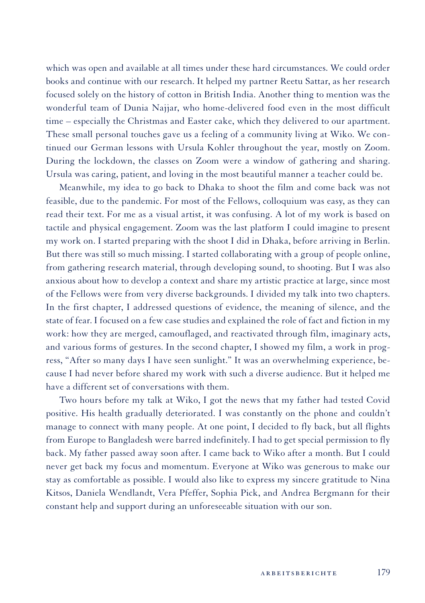which was open and available at all times under these hard circumstances. We could order books and continue with our research. It helped my partner Reetu Sattar, as her research focused solely on the history of cotton in British India. Another thing to mention was the wonderful team of Dunia Najjar, who home-delivered food even in the most difficult time – especially the Christmas and Easter cake, which they delivered to our apartment. These small personal touches gave us a feeling of a community living at Wiko. We continued our German lessons with Ursula Kohler throughout the year, mostly on Zoom. During the lockdown, the classes on Zoom were a window of gathering and sharing. Ursula was caring, patient, and loving in the most beautiful manner a teacher could be.

Meanwhile, my idea to go back to Dhaka to shoot the film and come back was not feasible, due to the pandemic. For most of the Fellows, colloquium was easy, as they can read their text. For me as a visual artist, it was confusing. A lot of my work is based on tactile and physical engagement. Zoom was the last platform I could imagine to present my work on. I started preparing with the shoot I did in Dhaka, before arriving in Berlin. But there was still so much missing. I started collaborating with a group of people online, from gathering research material, through developing sound, to shooting. But I was also anxious about how to develop a context and share my artistic practice at large, since most of the Fellows were from very diverse backgrounds. I divided my talk into two chapters. In the first chapter, I addressed questions of evidence, the meaning of silence, and the state of fear. I focused on a few case studies and explained the role of fact and fiction in my work: how they are merged, camouflaged, and reactivated through film, imaginary acts, and various forms of gestures. In the second chapter, I showed my film, a work in progress, "After so many days I have seen sunlight." It was an overwhelming experience, because I had never before shared my work with such a diverse audience. But it helped me have a different set of conversations with them.

Two hours before my talk at Wiko, I got the news that my father had tested Covid positive. His health gradually deteriorated. I was constantly on the phone and couldn't manage to connect with many people. At one point, I decided to fly back, but all flights from Europe to Bangladesh were barred indefinitely. I had to get special permission to fly back. My father passed away soon after. I came back to Wiko after a month. But I could never get back my focus and momentum. Everyone at Wiko was generous to make our stay as comfortable as possible. I would also like to express my sincere gratitude to Nina Kitsos, Daniela Wendlandt, Vera Pfeffer, Sophia Pick, and Andrea Bergmann for their constant help and support during an unforeseeable situation with our son.